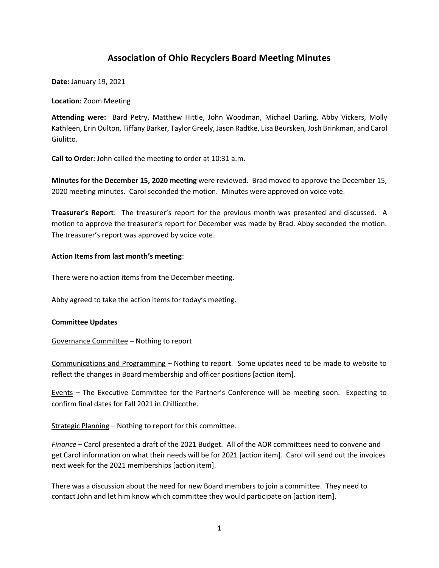# **Association of Ohio Recyclers Board Meeting Minutes**

**Date:** January 19, 2021

**Location:** Zoom Meeting

**Attending were:** Bard Petry, Matthew Hittle, John Woodman, Michael Darling, Abby Vickers, Molly Kathleen, Erin Oulton, Tiffany Barker, Taylor Greely, Jason Radtke, Lisa Beursken, Josh Brinkman, and Carol Giulitto.

**Call to Order:** John called the meeting to order at 10:31 a.m.

**Minutes for the December 15, 2020 meeting** were reviewed. Brad moved to approve the December 15, 2020 meeting minutes. Carol seconded the motion. Minutes were approved on voice vote.

**Treasurer's Report**: The treasurer's report for the previous month was presented and discussed. A motion to approve the treasurer's report for December was made by Brad. Abby seconded the motion. The treasurer's report was approved by voice vote.

## **Action Items from last month's meeting**:

There were no action items from the December meeting.

Abby agreed to take the action items for today's meeting.

## **Committee Updates**

Governance Committee – Nothing to report

Communications and Programming – Nothing to report. Some updates need to be made to website to reflect the changes in Board membership and officer positions [action item].

Events – The Executive Committee for the Partner's Conference will be meeting soon. Expecting to confirm final dates for Fall 2021 in Chillicothe.

Strategic Planning – Nothing to report for this committee.

*Finance –* Carol presented a draft of the 2021 Budget. All of the AOR committees need to convene and get Carol information on what their needs will be for 2021 [action item]. Carol will send out the invoices next week for the 2021 memberships [action item].

There was a discussion about the need for new Board members to join a committee. They need to contact John and let him know which committee they would participate on [action item].